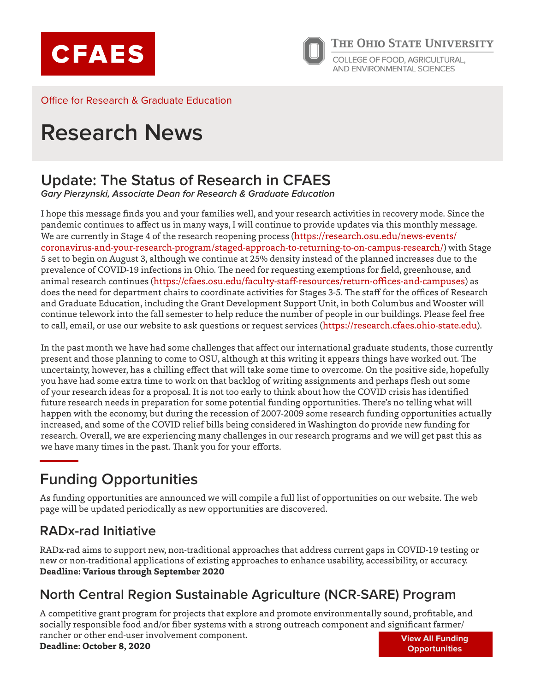



Office for Research & Graduate Education

# **Research News**

### **Update: The Status of Research in CFAES**

**Gary Pierzynski, Associate Dean for Research & Graduate Education**

I hope this message finds you and your families well, and your research activities in recovery mode. Since the pandemic continues to affect us in many ways, I will continue to provide updates via this monthly message. We are currently in Stage 4 of the research reopening process ([https://research.osu.edu/news-events/](https://research.osu.edu/news-events/coronavirus-and-your-research-program/staged-approach-to-returning-to-on-campus-research/) [coronavirus-and-your-research-program/staged-approach-to-returning-to-on-campus-research/\)](https://research.osu.edu/news-events/coronavirus-and-your-research-program/staged-approach-to-returning-to-on-campus-research/) with Stage 5 set to begin on August 3, although we continue at 25% density instead of the planned increases due to the prevalence of COVID-19 infections in Ohio. The need for requesting exemptions for field, greenhouse, and animal research continues (<https://cfaes.osu.edu/faculty-staff-resources/return-offices-and-campuses>) as does the need for department chairs to coordinate activities for Stages 3-5. The staff for the offices of Research and Graduate Education, including the Grant Development Support Unit, in both Columbus and Wooster will continue telework into the fall semester to help reduce the number of people in our buildings. Please feel free to call, email, or use our website to ask questions or request services (<https://research.cfaes.ohio-state.edu>).

In the past month we have had some challenges that affect our international graduate students, those currently present and those planning to come to OSU, although at this writing it appears things have worked out. The uncertainty, however, has a chilling effect that will take some time to overcome. On the positive side, hopefully you have had some extra time to work on that backlog of writing assignments and perhaps flesh out some of your research ideas for a proposal. It is not too early to think about how the COVID crisis has identified future research needs in preparation for some potential funding opportunities. There's no telling what will happen with the economy, but during the recession of 2007-2009 some research funding opportunities actually increased, and some of the COVID relief bills being considered in Washington do provide new funding for research. Overall, we are experiencing many challenges in our research programs and we will get past this as we have many times in the past. Thank you for your efforts.

# **Funding Opportunities**

As funding opportunities are announced we will compile a full list of opportunities on our website. The web page will be updated periodically as new opportunities are discovered.

#### **[RADx-rad Initiative](https://grants.nih.gov/grants/guide/notice-files/NOT-OD-20-144.html)**

RADx-rad aims to support new, non-traditional approaches that address current gaps in COVID-19 testing or new or non-traditional applications of existing approaches to enhance usability, accessibility, or accuracy. **Deadline: Various through September 2020**

#### **[North Central Region Sustainable Agriculture \(NCR-SARE\) Program](https://www.northcentralsare.org/Grants/Apply-for-a-Grant/Research-and-Education-Grant)**

A competitive grant program for projects that explore and promote environmentally sound, profitable, and socially responsible food and/or fiber systems with a strong outreach component and significant farmer/ rancher or other end-user involvement component. **Deadline: October 8, 2020 [View All Funding](https://research.cfaes.ohio-state.edu/node/31/current-funding-opportunities)  [Opportunities](https://research.cfaes.ohio-state.edu/node/31/current-funding-opportunities)**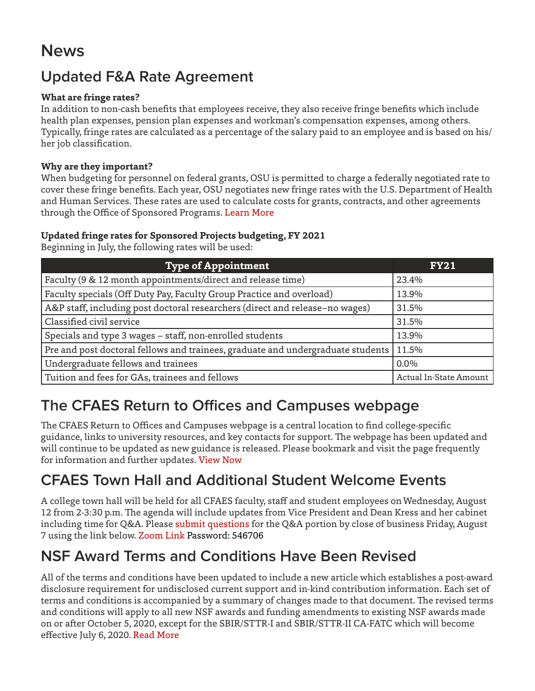# **News**

# **Updated F&A Rate Agreement**

#### **What are fringe rates?**

In addition to non-cash benefits that employees receive, they also receive fringe benefits which include health plan expenses, pension plan expenses and workman's compensation expenses, among others. Typically, fringe rates are calculated as a percentage of the salary paid to an employee and is based on his/ her job classification.

#### **Why are they important?**

When budgeting for personnel on federal grants, OSU is permitted to charge a federally negotiated rate to cover these fringe benefits. Each year, OSU negotiates new fringe rates with the U.S. Department of Health and Human Services. These rates are used to calculate costs for grants, contracts, and other agreements through the Office of Sponsored Programs. [Learn More](http://osp.osu.edu/development/budgets/fringe-benefit-rates-and-tuition/) 

#### **Updated fringe rates for Sponsored Projects budgeting, FY 2021**

Beginning in July, the following rates will be used:

| <b>Type of Appointment</b>                                                      | <b>FY21</b>            |
|---------------------------------------------------------------------------------|------------------------|
| Faculty (9 & 12 month appointments/direct and release time)                     | 23.4%                  |
| Faculty specials (Off Duty Pay, Faculty Group Practice and overload)            | 13.9%                  |
| A&P staff, including post doctoral researchers (direct and release-no wages)    | 31.5%                  |
| Classified civil service                                                        | 31.5%                  |
| Specials and type 3 wages - staff, non-enrolled students                        | 13.9%                  |
| Pre and post doctoral fellows and trainees, graduate and undergraduate students | 11.5%                  |
| Undergraduate fellows and trainees                                              | $0.0\%$                |
| Tuition and fees for GAs, trainees and fellows                                  | Actual In-State Amount |

### **The CFAES Return to Offices and Campuses webpage**

The CFAES Return to Offices and Campuses webpage is a central location to find college-specific guidance, links to university resources, and key contacts for support. The webpage has been updated and will continue to be updated as new guidance is released. Please bookmark and visit the page frequently for information and further updates. [View Now](https://cfaes.osu.edu/faculty-staff-resources/return-offices-and-campuses)

### **CFAES Town Hall and Additional Student Welcome Events**

A college town hall will be held for all CFAES faculty, staff and student employees on Wednesday, August 12 from 2-3:30 p.m. The agenda will include updates from Vice President and Dean Kress and her cabinet including time for Q&A. Please [submit questions](https://urldefense.com/v3/__https:/osu.az1.qualtrics.com/jfe/form/SV_2rGQtAKUlcdSRKt__;!!KGKeukY!l3BiWBdFtJCmu-ge1WHpZ89LR818pq-StAzpBI77wOtFU-cATEcB9sN3DVn53ZjR$) for the Q&A portion by close of business Friday, August 7 using the link below. [Zoom Link](https://osu.zoom.us/j/95684653360?pwd=VFpqQThIR0hVVytSL3Rhb2k5YkZsQT09) Password: 546706

### **NSF Award Terms and Conditions Have Been Revised**

All of the terms and conditions have been updated to include a new article which establishes a post-award disclosure requirement for undisclosed current support and in-kind contribution information. Each set of terms and conditions is accompanied by a summary of changes made to that document. The revised terms and conditions will apply to all new NSF awards and funding amendments to existing NSF awards made on or after October 5, 2020, except for the SBIR/STTR-I and SBIR/STTR-II CA-FATC which will become effective July 6, 2020. [Read More](https://urldefense.com/v3/__http:/r20.rs6.net/tn.jsp?f=001inInVS1ZJN7K7GF4kprID4Vtv35oVsE4S3__IOgv085gLM3QtViPabglITysQCvnYXlGThjvb4brNbtWNy3m9bDR79CW19EZmbqs3k8DVWPdd11kUrv4siI56QuwGHra73vgLuawx8VFiEtn4HX_GhZclsiUZD8yLF23ntox9uOhkj1opeGpF2emvd_blY_jcpeGFt_yL0GcR56UXPs2mQ==&c=bur2YvW0ViSg_jmMjK9JiPcS58qJ3XnLFiwdtwEpTZyPHkhU5HAfTQ==&ch=zQmEPY30Q2zgvTbZXoDQTEbmdOEPRCbvUpdXk_MIK_JdSO_810jciA==__;!!KGKeukY!ltLs-RYrQ3SF5o1696Hm0e3nWrDHxwcg_DBMgOoGfxzIXhc4L1vGjSe92vs_3KYZ$)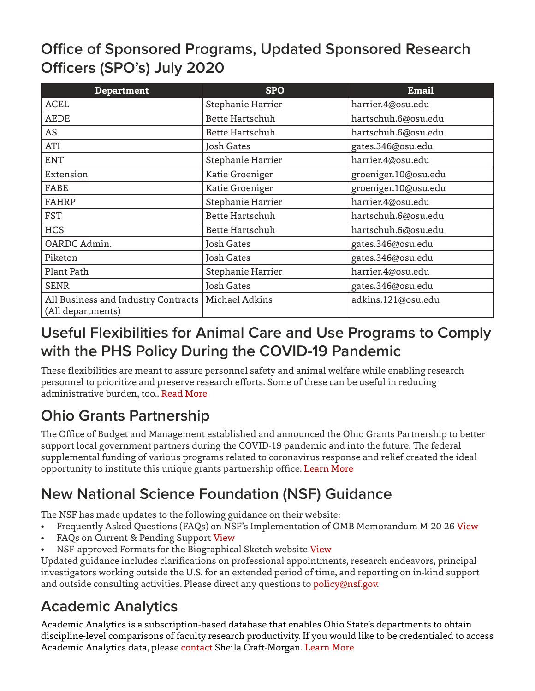# **Office of Sponsored Programs, Updated Sponsored Research Officers (SPO's) July 2020**

| <b>Department</b>                                        | <b>SPO</b>             | <b>Email</b>         |
|----------------------------------------------------------|------------------------|----------------------|
| <b>ACEL</b>                                              | Stephanie Harrier      | harrier.4@osu.edu    |
| <b>AEDE</b>                                              | <b>Bette Hartschuh</b> | hartschuh.6@osu.edu  |
| AS                                                       | <b>Bette Hartschuh</b> | hartschuh.6@osu.edu  |
| ATI                                                      | Josh Gates             | gates.346@osu.edu    |
| <b>ENT</b>                                               | Stephanie Harrier      | harrier.4@osu.edu    |
| Extension                                                | Katie Groeniger        | groeniger.10@osu.edu |
| FABE                                                     | Katie Groeniger        | groeniger.10@osu.edu |
| <b>FAHRP</b>                                             | Stephanie Harrier      | harrier.4@osu.edu    |
| <b>FST</b>                                               | <b>Bette Hartschuh</b> | hartschuh.6@osu.edu  |
| <b>HCS</b>                                               | <b>Bette Hartschuh</b> | hartschuh.6@osu.edu  |
| OARDC Admin.                                             | Josh Gates             | gates.346@osu.edu    |
| Piketon                                                  | <b>Josh Gates</b>      | gates.346@osu.edu    |
| Plant Path                                               | Stephanie Harrier      | harrier.4@osu.edu    |
| <b>SENR</b>                                              | Josh Gates             | gates.346@osu.edu    |
| All Business and Industry Contracts<br>(All departments) | Michael Adkins         | adkins.121@osu.edu   |

### **Useful Flexibilities for Animal Care and Use Programs to Comply with the PHS Policy During the COVID-19 Pandemic**

These flexibilities are meant to assure personnel safety and animal welfare while enabling research personnel to prioritize and preserve research efforts. Some of these can be useful in reducing administrative burden, too.. [Read More](https://urldefense.com/v3/__http:/r20.rs6.net/tn.jsp?f=001VBG3ENsPVjr3XrLfD27jgfq6Nmq55XFWAi6vWK-DWt8hWG19lKNOXooH4TmXUXUX51Avqn3huZhi57TpT0VtVkAS5YdMviptGB-WEa7xOl8OlgB7_DxQI0Cj5hFfFjjBDk3GR2xTlRwkBNbONkq94S1JRhdeU_Ag-eWgPmtQAVXXVP6DNbJYyB1DNRR-7OEd7cf_NOnEK1SCNlCkOCd30iJ98SSQzJ5LzxitGxuCL6Fu9PRFEP1IuBuRUeVHlB0XrjYuywvBz7PeutdZuj87zg2OWrxxxxg5mRCdWTuyJE_P2mq_KSe6bNAygwfWK0G6qTfFtLzLCps=&c=zJgbyBljJhSxUPRqkz8iUb1Tu3Vk8P383bn1-VUb4lTsLnCjt96LDA==&ch=9SJeFYxP0PHsUujYi3ZtVRNVmP827Ma5X_zTsAY5TuvqAbM0bly-ow==__;!!KGKeukY!kFzoSOaGSV-3qwPZ5VSj7dwtRjNz9yN2sIK8_QusCerP50-OTprDTkiswj65aUbm$)

# **Ohio Grants Partnership**

The Office of Budget and Management established and announced the Ohio Grants Partnership to better support local government partners during the COVID-19 pandemic and into the future. The federal supplemental funding of various programs related to coronavirus response and relief created the ideal opportunity to institute this unique grants partnership office. [Learn More](https://grants.ohio.gov/about.aspx)

# **New National Science Foundation (NSF) Guidance**

The NSF has made updates to the following guidance on their website:

- Frequently Asked Questions (FAQs) on NSF's Implementation of OMB Memorandum M-20-26 [View](https://urldefense.com/v3/__https:/www.nsf.gov/bfa/dias/policy/covid19/covid19faqs_m2026proposerandawardee.pdf__;!!KGKeukY!hA6bycjI0YEpQ89uYKKvtzH_GpO8MdgRoU4UTEQveYsqBeCuFFXspxyXYVGl5Cma$)
- FAQs on Current & Pending Support [View](https://urldefense.com/v3/__https:/www.nsf.gov/bfa/dias/policy/papp/pappg20_1/faqs_cps20_1.pdf__;!!KGKeukY!hA6bycjI0YEpQ89uYKKvtzH_GpO8MdgRoU4UTEQveYsqBeCuFFXspxyXYXwvwlyy$)
- NSF-approved Formats for the Biographical Sketch website [View](https://urldefense.com/v3/__https:/www.nsf.gov/bfa/dias/policy/biosketch.jsp__;!!KGKeukY!hA6bycjI0YEpQ89uYKKvtzH_GpO8MdgRoU4UTEQveYsqBeCuFFXspxyXYWFvpDkD$)

Updated guidance includes clarifications on professional appointments, research endeavors, principal investigators working outside the U.S. for an extended period of time, and reporting on in-kind support and outside consulting activities. Please direct any questions to [policy@nsf.gov](mailto:policy%40nsf.gov?subject=).

### **Academic Analytics**

Academic Analytics is a subscription-based database that enables Ohio State's departments to obtain discipline-level comparisons of faculty research productivity. If you would like to be credentialed to access Academic Analytics data, please [contact](mailto:craft-morgan.1%40osu.edu?subject=) Sheila Craft-Morgan. [Learn More](http://academicanalytics.com/)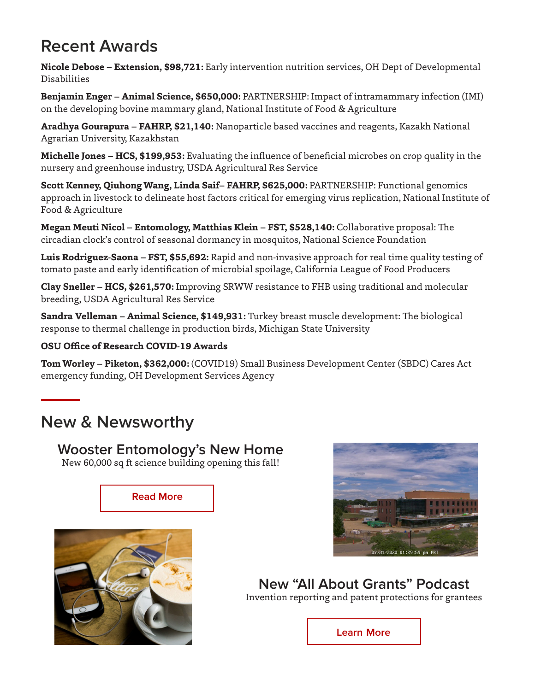# **Recent Awards**

**Nicole Debose – Extension, \$98,721:** Early intervention nutrition services, OH Dept of Developmental Disabilities

**Benjamin Enger – Animal Science, \$650,000:** PARTNERSHIP: Impact of intramammary infection (IMI) on the developing bovine mammary gland, National Institute of Food & Agriculture

**Aradhya Gourapura – FAHRP, \$21,140:** Nanoparticle based vaccines and reagents, Kazakh National Agrarian University, Kazakhstan

**Michelle Jones – HCS, \$199,953:** Evaluating the influence of beneficial microbes on crop quality in the nursery and greenhouse industry, USDA Agricultural Res Service

**Scott Kenney, Qiuhong Wang, Linda Saif– FAHRP, \$625,000:** PARTNERSHIP: Functional genomics approach in livestock to delineate host factors critical for emerging virus replication, National Institute of Food & Agriculture

**Megan Meuti Nicol – Entomology, Matthias Klein – FST, \$528,140:** Collaborative proposal: The circadian clock's control of seasonal dormancy in mosquitos, National Science Foundation

**Luis Rodriguez-Saona – FST, \$55,692:** Rapid and non-invasive approach for real time quality testing of tomato paste and early identification of microbial spoilage, California League of Food Producers

**Clay Sneller – HCS, \$261,570:** Improving SRWW resistance to FHB using traditional and molecular breeding, USDA Agricultural Res Service

**Sandra Velleman – Animal Science, \$149,931:** Turkey breast muscle development: The biological response to thermal challenge in production birds, Michigan State University

#### **OSU Office of Research COVID-19 Awards**

**Tom Worley – Piketon, \$362,000:** (COVID19) Small Business Development Center (SBDC) Cares Act emergency funding, OH Development Services Agency

### **New & Newsworthy**

**Wooster Entomology's New Home** New 60,000 sq ft science building opening this fall!

**[Read More](https://urldefense.com/v3/__http:/r20.rs6.net/tn.jsp?f=001j-ciZQhuSYGdWrX1E8smpfqj29gM684-r1M0TcbxTRDTACVQ9Aht056t0J7SbzwLNFgKp4PcZrrPu2eEyhruJQ2TiWl8CmAo9i7i94RqUx8snzOc1k7rPEMfxs-vXBYA60aGp3goAWVP79NYJ4yXKspNigJ-jmocFUQVuZmmm-CKmbUFDgKCkg==&c=Xx6rGfirxmcSTXecvMlDdJi1IGY0HUmaT5v2c_0us45wrIcXzNvX1A==&ch=8pbDfTyf2xgGmRKR9BXOhIZQMSrdiO3iSQVvug9zD701j3B-GHjRsQ==__;!!KGKeukY!hWd3NL7dOc7VCn7Oed6reNhr_zJrJfTMmhR88QOpgBKiDXbo2cl9kzjmWac0VtSK$)**



**New "All About Grants" Podcast**  Invention reporting and patent protections for grantees

**Learn [More](https://urldefense.com/v3/__http:/r20.rs6.net/tn.jsp?f=001VBG3ENsPVjr3XrLfD27jgfq6Nmq55XFWAi6vWK-DWt8hWG19lKNOXooH4TmXUXUXgZOGHof1xiLKBKLiaYk075FFgb3TRp-wW6h9xIMIBYQNcmr63LAhQzhH8Ut08o9Vrg605D2b9qmrUqXdSMOpJRf2P735IwWoKyUGf0H8aN7PqnWbNnAcK-lhJaFwHwcDkxjY5BVZy3YqfvLihMkZ7kc8OUTpjps0wISU_7w42XVUQALWov7LuDeFJ7NgXDotHO2czu-mGd1z4XxwpTtBI2UJETFHLJK7pdBGEmzULGE=&c=zJgbyBljJhSxUPRqkz8iUb1Tu3Vk8P383bn1-VUb4lTsLnCjt96LDA==&ch=9SJeFYxP0PHsUujYi3ZtVRNVmP827Ma5X_zTsAY5TuvqAbM0bly-ow==__;!!KGKeukY!kFzoSOaGSV-3qwPZ5VSj7dwtRjNz9yN2sIK8_QusCerP50-OTprDTkiswqcR2lz6$)**